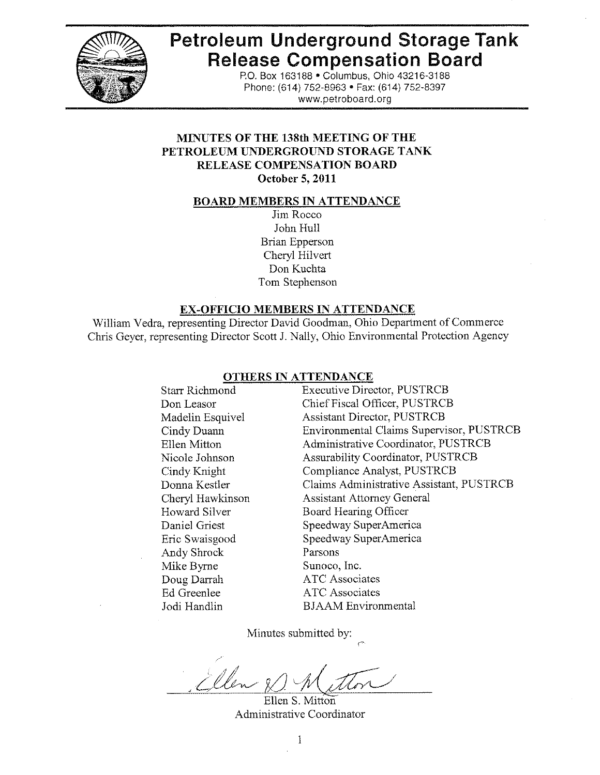

# **Petroleum Underground Storage Tank Release Compensation Board**

P.O. Box 163188 . Columbus, Ohio 43216-3188 Phone: (614) 752-8963 · Fax: (614) 752-8397 www.petroboard.org

# **MINUTES OF THE 138th MEETING OF THE** PETROLEUM UNDERGROUND STORAGE TANK **RELEASE COMPENSATION BOARD** October 5, 2011

#### **BOARD MEMBERS IN ATTENDANCE**

Jim Rocco John Hull **Brian Epperson** Cheryl Hilvert Don Kuchta Tom Stephenson

## **EX-OFFICIO MEMBERS IN ATTENDANCE**

William Vedra, representing Director David Goodman, Ohio Department of Commerce Chris Geyer, representing Director Scott J. Nally, Ohio Environmental Protection Agency

#### **OTHERS IN ATTENDANCE**

**Executive Director, PUSTRCB** Starr Richmond Chief Fiscal Officer, PUSTRCB Don Leasor **Assistant Director, PUSTRCB** Madelin Esquivel Environmental Claims Supervisor, PUSTRCB Cindy Duann Ellen Mitton Administrative Coordinator, PUSTRCB **Assurability Coordinator, PUSTRCB** Nicole Johnson Compliance Analyst, PUSTRCB Cindy Knight Claims Administrative Assistant, PUSTRCB Donna Kestler **Assistant Attorney General** Cheryl Hawkinson **Board Hearing Officer** Howard Silver Daniel Griest Speedway SuperAmerica Speedway SuperAmerica Eric Swaisgood Parsons Andy Shrock Mike Byrne Sunoco, Inc. Doug Darrah **ATC** Associates Ed Greenlee **ATC** Associates Jodi Handlin **BJAAM** Environmental

Minutes submitted by:

Men

Ellen S. Mitton Administrative Coordinator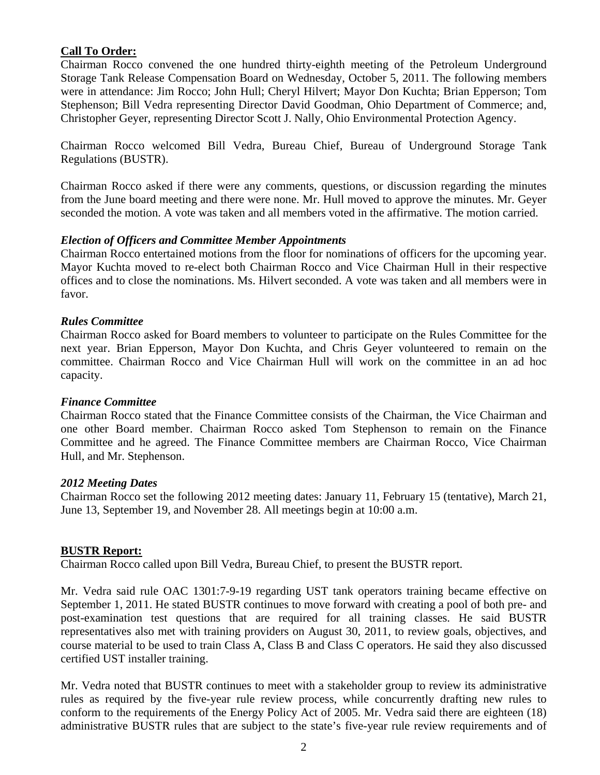## **Call To Order:**

Chairman Rocco convened the one hundred thirty-eighth meeting of the Petroleum Underground Storage Tank Release Compensation Board on Wednesday, October 5, 2011. The following members were in attendance: Jim Rocco; John Hull; Cheryl Hilvert; Mayor Don Kuchta; Brian Epperson; Tom Stephenson; Bill Vedra representing Director David Goodman, Ohio Department of Commerce; and, Christopher Geyer, representing Director Scott J. Nally, Ohio Environmental Protection Agency.

Chairman Rocco welcomed Bill Vedra, Bureau Chief, Bureau of Underground Storage Tank Regulations (BUSTR).

Chairman Rocco asked if there were any comments, questions, or discussion regarding the minutes from the June board meeting and there were none. Mr. Hull moved to approve the minutes. Mr. Geyer seconded the motion. A vote was taken and all members voted in the affirmative. The motion carried.

## *Election of Officers and Committee Member Appointments*

Chairman Rocco entertained motions from the floor for nominations of officers for the upcoming year. Mayor Kuchta moved to re-elect both Chairman Rocco and Vice Chairman Hull in their respective offices and to close the nominations. Ms. Hilvert seconded. A vote was taken and all members were in favor.

## *Rules Committee*

Chairman Rocco asked for Board members to volunteer to participate on the Rules Committee for the next year. Brian Epperson, Mayor Don Kuchta, and Chris Geyer volunteered to remain on the committee. Chairman Rocco and Vice Chairman Hull will work on the committee in an ad hoc capacity.

## *Finance Committee*

Chairman Rocco stated that the Finance Committee consists of the Chairman, the Vice Chairman and one other Board member. Chairman Rocco asked Tom Stephenson to remain on the Finance Committee and he agreed. The Finance Committee members are Chairman Rocco, Vice Chairman Hull, and Mr. Stephenson.

## *2012 Meeting Dates*

Chairman Rocco set the following 2012 meeting dates: January 11, February 15 (tentative), March 21, June 13, September 19, and November 28. All meetings begin at 10:00 a.m.

## **BUSTR Report:**

Chairman Rocco called upon Bill Vedra, Bureau Chief, to present the BUSTR report.

Mr. Vedra said rule OAC 1301:7-9-19 regarding UST tank operators training became effective on September 1, 2011. He stated BUSTR continues to move forward with creating a pool of both pre- and post-examination test questions that are required for all training classes. He said BUSTR representatives also met with training providers on August 30, 2011, to review goals, objectives, and course material to be used to train Class A, Class B and Class C operators. He said they also discussed certified UST installer training.

Mr. Vedra noted that BUSTR continues to meet with a stakeholder group to review its administrative rules as required by the five-year rule review process, while concurrently drafting new rules to conform to the requirements of the Energy Policy Act of 2005. Mr. Vedra said there are eighteen (18) administrative BUSTR rules that are subject to the state's five-year rule review requirements and of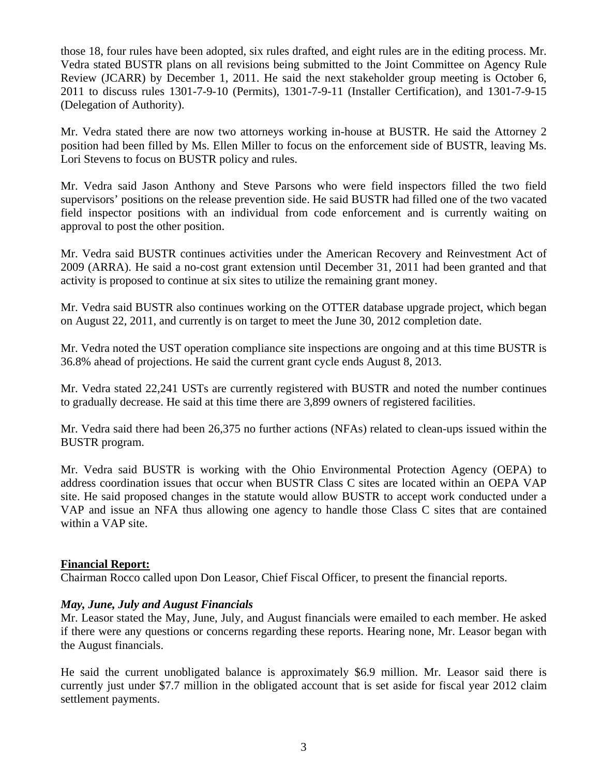those 18, four rules have been adopted, six rules drafted, and eight rules are in the editing process. Mr. Vedra stated BUSTR plans on all revisions being submitted to the Joint Committee on Agency Rule Review (JCARR) by December 1, 2011. He said the next stakeholder group meeting is October 6, 2011 to discuss rules 1301-7-9-10 (Permits), 1301-7-9-11 (Installer Certification), and 1301-7-9-15 (Delegation of Authority).

Mr. Vedra stated there are now two attorneys working in-house at BUSTR. He said the Attorney 2 position had been filled by Ms. Ellen Miller to focus on the enforcement side of BUSTR, leaving Ms. Lori Stevens to focus on BUSTR policy and rules.

Mr. Vedra said Jason Anthony and Steve Parsons who were field inspectors filled the two field supervisors' positions on the release prevention side. He said BUSTR had filled one of the two vacated field inspector positions with an individual from code enforcement and is currently waiting on approval to post the other position.

Mr. Vedra said BUSTR continues activities under the American Recovery and Reinvestment Act of 2009 (ARRA). He said a no-cost grant extension until December 31, 2011 had been granted and that activity is proposed to continue at six sites to utilize the remaining grant money.

Mr. Vedra said BUSTR also continues working on the OTTER database upgrade project, which began on August 22, 2011, and currently is on target to meet the June 30, 2012 completion date.

Mr. Vedra noted the UST operation compliance site inspections are ongoing and at this time BUSTR is 36.8% ahead of projections. He said the current grant cycle ends August 8, 2013.

Mr. Vedra stated 22,241 USTs are currently registered with BUSTR and noted the number continues to gradually decrease. He said at this time there are 3,899 owners of registered facilities.

Mr. Vedra said there had been 26,375 no further actions (NFAs) related to clean-ups issued within the BUSTR program.

Mr. Vedra said BUSTR is working with the Ohio Environmental Protection Agency (OEPA) to address coordination issues that occur when BUSTR Class C sites are located within an OEPA VAP site. He said proposed changes in the statute would allow BUSTR to accept work conducted under a VAP and issue an NFA thus allowing one agency to handle those Class C sites that are contained within a VAP site.

## **Financial Report:**

Chairman Rocco called upon Don Leasor, Chief Fiscal Officer, to present the financial reports.

#### *May, June, July and August Financials*

Mr. Leasor stated the May, June, July, and August financials were emailed to each member. He asked if there were any questions or concerns regarding these reports. Hearing none, Mr. Leasor began with the August financials.

He said the current unobligated balance is approximately \$6.9 million. Mr. Leasor said there is currently just under \$7.7 million in the obligated account that is set aside for fiscal year 2012 claim settlement payments.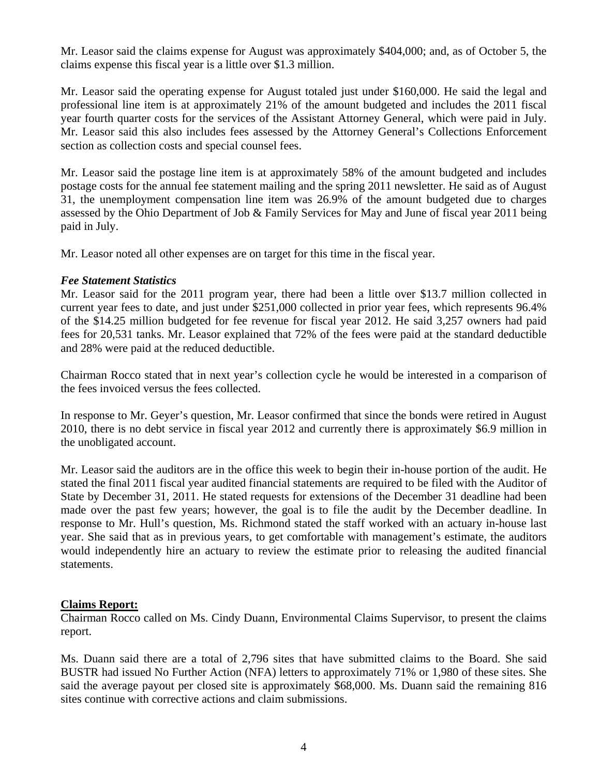Mr. Leasor said the claims expense for August was approximately \$404,000; and, as of October 5, the claims expense this fiscal year is a little over \$1.3 million.

Mr. Leasor said the operating expense for August totaled just under \$160,000. He said the legal and professional line item is at approximately 21% of the amount budgeted and includes the 2011 fiscal year fourth quarter costs for the services of the Assistant Attorney General, which were paid in July. Mr. Leasor said this also includes fees assessed by the Attorney General's Collections Enforcement section as collection costs and special counsel fees.

Mr. Leasor said the postage line item is at approximately 58% of the amount budgeted and includes postage costs for the annual fee statement mailing and the spring 2011 newsletter. He said as of August 31, the unemployment compensation line item was 26.9% of the amount budgeted due to charges assessed by the Ohio Department of Job & Family Services for May and June of fiscal year 2011 being paid in July.

Mr. Leasor noted all other expenses are on target for this time in the fiscal year.

## *Fee Statement Statistics*

Mr. Leasor said for the 2011 program year, there had been a little over \$13.7 million collected in current year fees to date, and just under \$251,000 collected in prior year fees, which represents 96.4% of the \$14.25 million budgeted for fee revenue for fiscal year 2012. He said 3,257 owners had paid fees for 20,531 tanks. Mr. Leasor explained that 72% of the fees were paid at the standard deductible and 28% were paid at the reduced deductible.

Chairman Rocco stated that in next year's collection cycle he would be interested in a comparison of the fees invoiced versus the fees collected.

In response to Mr. Geyer's question, Mr. Leasor confirmed that since the bonds were retired in August 2010, there is no debt service in fiscal year 2012 and currently there is approximately \$6.9 million in the unobligated account.

Mr. Leasor said the auditors are in the office this week to begin their in-house portion of the audit. He stated the final 2011 fiscal year audited financial statements are required to be filed with the Auditor of State by December 31, 2011. He stated requests for extensions of the December 31 deadline had been made over the past few years; however, the goal is to file the audit by the December deadline. In response to Mr. Hull's question, Ms. Richmond stated the staff worked with an actuary in-house last year. She said that as in previous years, to get comfortable with management's estimate, the auditors would independently hire an actuary to review the estimate prior to releasing the audited financial statements.

## **Claims Report:**

Chairman Rocco called on Ms. Cindy Duann, Environmental Claims Supervisor, to present the claims report.

Ms. Duann said there are a total of 2,796 sites that have submitted claims to the Board. She said BUSTR had issued No Further Action (NFA) letters to approximately 71% or 1,980 of these sites. She said the average payout per closed site is approximately \$68,000. Ms. Duann said the remaining 816 sites continue with corrective actions and claim submissions.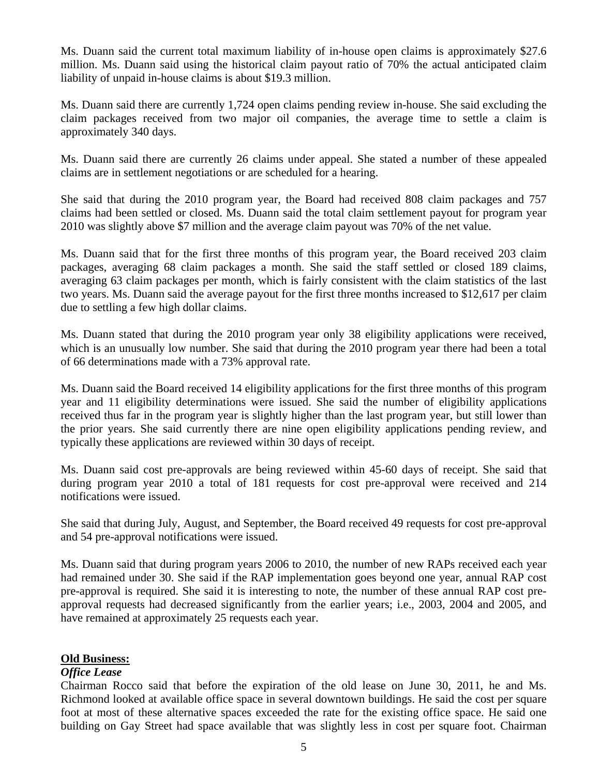Ms. Duann said the current total maximum liability of in-house open claims is approximately \$27.6 million. Ms. Duann said using the historical claim payout ratio of 70% the actual anticipated claim liability of unpaid in-house claims is about \$19.3 million.

Ms. Duann said there are currently 1,724 open claims pending review in-house. She said excluding the claim packages received from two major oil companies, the average time to settle a claim is approximately 340 days.

Ms. Duann said there are currently 26 claims under appeal. She stated a number of these appealed claims are in settlement negotiations or are scheduled for a hearing.

She said that during the 2010 program year, the Board had received 808 claim packages and 757 claims had been settled or closed. Ms. Duann said the total claim settlement payout for program year 2010 was slightly above \$7 million and the average claim payout was 70% of the net value.

Ms. Duann said that for the first three months of this program year, the Board received 203 claim packages, averaging 68 claim packages a month. She said the staff settled or closed 189 claims, averaging 63 claim packages per month, which is fairly consistent with the claim statistics of the last two years. Ms. Duann said the average payout for the first three months increased to \$12,617 per claim due to settling a few high dollar claims.

Ms. Duann stated that during the 2010 program year only 38 eligibility applications were received, which is an unusually low number. She said that during the 2010 program year there had been a total of 66 determinations made with a 73% approval rate.

Ms. Duann said the Board received 14 eligibility applications for the first three months of this program year and 11 eligibility determinations were issued. She said the number of eligibility applications received thus far in the program year is slightly higher than the last program year, but still lower than the prior years. She said currently there are nine open eligibility applications pending review, and typically these applications are reviewed within 30 days of receipt.

Ms. Duann said cost pre-approvals are being reviewed within 45-60 days of receipt. She said that during program year 2010 a total of 181 requests for cost pre-approval were received and 214 notifications were issued.

She said that during July, August, and September, the Board received 49 requests for cost pre-approval and 54 pre-approval notifications were issued.

Ms. Duann said that during program years 2006 to 2010, the number of new RAPs received each year had remained under 30. She said if the RAP implementation goes beyond one year, annual RAP cost pre-approval is required. She said it is interesting to note, the number of these annual RAP cost preapproval requests had decreased significantly from the earlier years; i.e., 2003, 2004 and 2005, and have remained at approximately 25 requests each year.

## **Old Business:**

## *Office Lease*

Chairman Rocco said that before the expiration of the old lease on June 30, 2011, he and Ms. Richmond looked at available office space in several downtown buildings. He said the cost per square foot at most of these alternative spaces exceeded the rate for the existing office space. He said one building on Gay Street had space available that was slightly less in cost per square foot. Chairman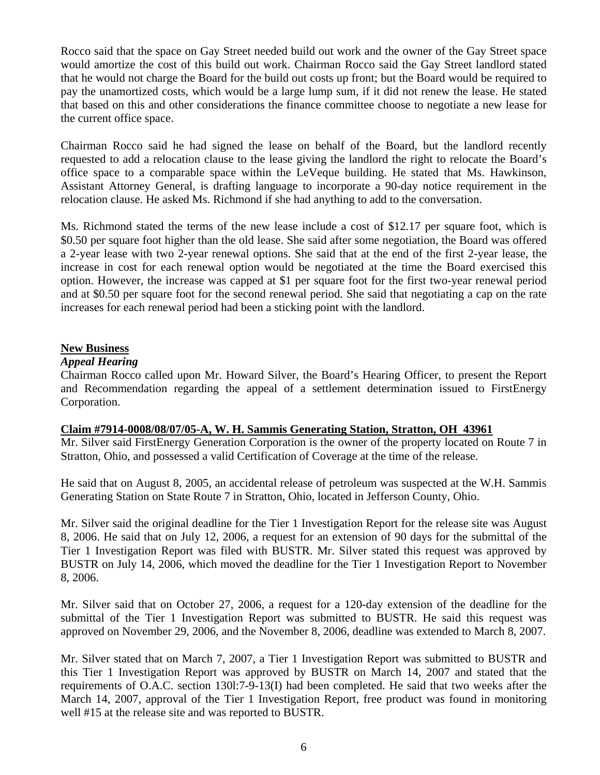Rocco said that the space on Gay Street needed build out work and the owner of the Gay Street space would amortize the cost of this build out work. Chairman Rocco said the Gay Street landlord stated that he would not charge the Board for the build out costs up front; but the Board would be required to pay the unamortized costs, which would be a large lump sum, if it did not renew the lease. He stated that based on this and other considerations the finance committee choose to negotiate a new lease for the current office space.

Chairman Rocco said he had signed the lease on behalf of the Board, but the landlord recently requested to add a relocation clause to the lease giving the landlord the right to relocate the Board's office space to a comparable space within the LeVeque building. He stated that Ms. Hawkinson, Assistant Attorney General, is drafting language to incorporate a 90-day notice requirement in the relocation clause. He asked Ms. Richmond if she had anything to add to the conversation.

Ms. Richmond stated the terms of the new lease include a cost of \$12.17 per square foot, which is \$0.50 per square foot higher than the old lease. She said after some negotiation, the Board was offered a 2-year lease with two 2-year renewal options. She said that at the end of the first 2-year lease, the increase in cost for each renewal option would be negotiated at the time the Board exercised this option. However, the increase was capped at \$1 per square foot for the first two-year renewal period and at \$0.50 per square foot for the second renewal period. She said that negotiating a cap on the rate increases for each renewal period had been a sticking point with the landlord.

## **New Business**

## *Appeal Hearing*

Chairman Rocco called upon Mr. Howard Silver, the Board's Hearing Officer, to present the Report and Recommendation regarding the appeal of a settlement determination issued to FirstEnergy Corporation.

## **Claim #7914-0008/08/07/05-A, W. H. Sammis Generating Station, Stratton, OH 43961**

Mr. Silver said FirstEnergy Generation Corporation is the owner of the property located on Route 7 in Stratton, Ohio, and possessed a valid Certification of Coverage at the time of the release.

He said that on August 8, 2005, an accidental release of petroleum was suspected at the W.H. Sammis Generating Station on State Route 7 in Stratton, Ohio, located in Jefferson County, Ohio.

Mr. Silver said the original deadline for the Tier 1 Investigation Report for the release site was August 8, 2006. He said that on July 12, 2006, a request for an extension of 90 days for the submittal of the Tier 1 Investigation Report was filed with BUSTR. Mr. Silver stated this request was approved by BUSTR on July 14, 2006, which moved the deadline for the Tier 1 Investigation Report to November 8, 2006.

Mr. Silver said that on October 27, 2006, a request for a 120-day extension of the deadline for the submittal of the Tier 1 Investigation Report was submitted to BUSTR. He said this request was approved on November 29, 2006, and the November 8, 2006, deadline was extended to March 8, 2007.

Mr. Silver stated that on March 7, 2007, a Tier 1 Investigation Report was submitted to BUSTR and this Tier 1 Investigation Report was approved by BUSTR on March 14, 2007 and stated that the requirements of O.A.C. section 130l:7-9-13(I) had been completed. He said that two weeks after the March 14, 2007, approval of the Tier 1 Investigation Report, free product was found in monitoring well #15 at the release site and was reported to BUSTR.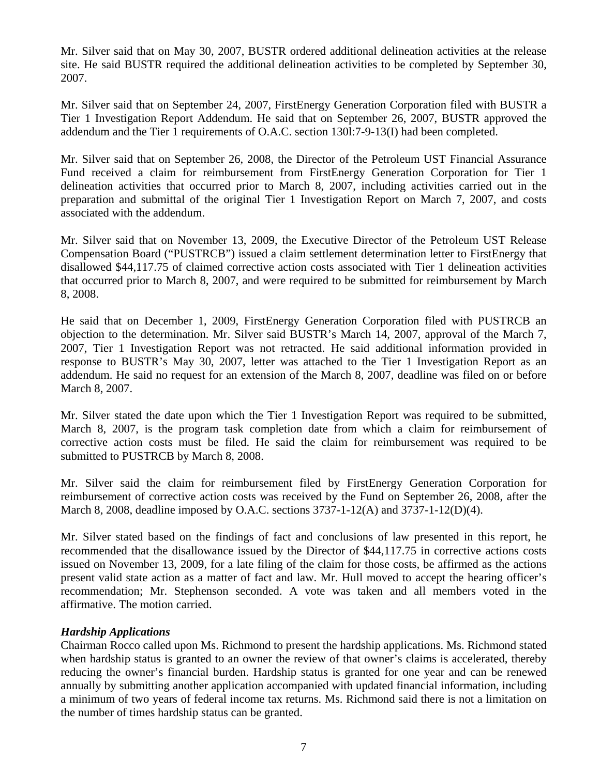Mr. Silver said that on May 30, 2007, BUSTR ordered additional delineation activities at the release site. He said BUSTR required the additional delineation activities to be completed by September 30, 2007.

Mr. Silver said that on September 24, 2007, FirstEnergy Generation Corporation filed with BUSTR a Tier 1 Investigation Report Addendum. He said that on September 26, 2007, BUSTR approved the addendum and the Tier 1 requirements of O.A.C. section 130l:7-9-13(I) had been completed.

Mr. Silver said that on September 26, 2008, the Director of the Petroleum UST Financial Assurance Fund received a claim for reimbursement from FirstEnergy Generation Corporation for Tier 1 delineation activities that occurred prior to March 8, 2007, including activities carried out in the preparation and submittal of the original Tier 1 Investigation Report on March 7, 2007, and costs associated with the addendum.

Mr. Silver said that on November 13, 2009, the Executive Director of the Petroleum UST Release Compensation Board ("PUSTRCB") issued a claim settlement determination letter to FirstEnergy that disallowed \$44,117.75 of claimed corrective action costs associated with Tier 1 delineation activities that occurred prior to March 8, 2007, and were required to be submitted for reimbursement by March 8, 2008.

He said that on December 1, 2009, FirstEnergy Generation Corporation filed with PUSTRCB an objection to the determination. Mr. Silver said BUSTR's March 14, 2007, approval of the March 7, 2007, Tier 1 Investigation Report was not retracted. He said additional information provided in response to BUSTR's May 30, 2007, letter was attached to the Tier 1 Investigation Report as an addendum. He said no request for an extension of the March 8, 2007, deadline was filed on or before March 8, 2007.

Mr. Silver stated the date upon which the Tier 1 Investigation Report was required to be submitted, March 8, 2007, is the program task completion date from which a claim for reimbursement of corrective action costs must be filed. He said the claim for reimbursement was required to be submitted to PUSTRCB by March 8, 2008.

Mr. Silver said the claim for reimbursement filed by FirstEnergy Generation Corporation for reimbursement of corrective action costs was received by the Fund on September 26, 2008, after the March 8, 2008, deadline imposed by O.A.C. sections 3737-1-12(A) and 3737-1-12(D)(4).

Mr. Silver stated based on the findings of fact and conclusions of law presented in this report, he recommended that the disallowance issued by the Director of \$44,117.75 in corrective actions costs issued on November 13, 2009, for a late filing of the claim for those costs, be affirmed as the actions present valid state action as a matter of fact and law. Mr. Hull moved to accept the hearing officer's recommendation; Mr. Stephenson seconded. A vote was taken and all members voted in the affirmative. The motion carried.

## *Hardship Applications*

Chairman Rocco called upon Ms. Richmond to present the hardship applications. Ms. Richmond stated when hardship status is granted to an owner the review of that owner's claims is accelerated, thereby reducing the owner's financial burden. Hardship status is granted for one year and can be renewed annually by submitting another application accompanied with updated financial information, including a minimum of two years of federal income tax returns. Ms. Richmond said there is not a limitation on the number of times hardship status can be granted.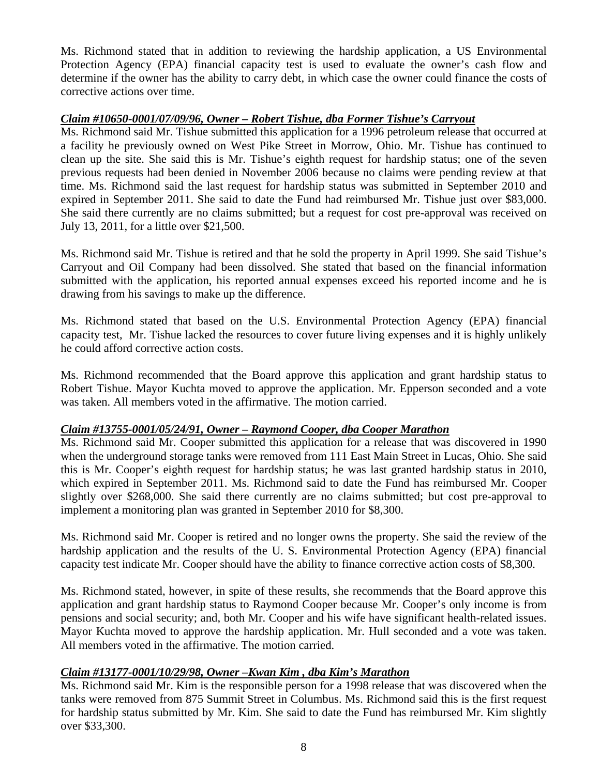Ms. Richmond stated that in addition to reviewing the hardship application, a US Environmental Protection Agency (EPA) financial capacity test is used to evaluate the owner's cash flow and determine if the owner has the ability to carry debt, in which case the owner could finance the costs of corrective actions over time.

# *Claim #10650-0001/07/09/96, Owner – Robert Tishue, dba Former Tishue's Carryout*

Ms. Richmond said Mr. Tishue submitted this application for a 1996 petroleum release that occurred at a facility he previously owned on West Pike Street in Morrow, Ohio. Mr. Tishue has continued to clean up the site. She said this is Mr. Tishue's eighth request for hardship status; one of the seven previous requests had been denied in November 2006 because no claims were pending review at that time. Ms. Richmond said the last request for hardship status was submitted in September 2010 and expired in September 2011. She said to date the Fund had reimbursed Mr. Tishue just over \$83,000. She said there currently are no claims submitted; but a request for cost pre-approval was received on July 13, 2011, for a little over \$21,500.

Ms. Richmond said Mr. Tishue is retired and that he sold the property in April 1999. She said Tishue's Carryout and Oil Company had been dissolved. She stated that based on the financial information submitted with the application, his reported annual expenses exceed his reported income and he is drawing from his savings to make up the difference.

Ms. Richmond stated that based on the U.S. Environmental Protection Agency (EPA) financial capacity test, Mr. Tishue lacked the resources to cover future living expenses and it is highly unlikely he could afford corrective action costs.

Ms. Richmond recommended that the Board approve this application and grant hardship status to Robert Tishue. Mayor Kuchta moved to approve the application. Mr. Epperson seconded and a vote was taken. All members voted in the affirmative. The motion carried.

## *Claim #13755-0001/05/24/91, Owner – Raymond Cooper, dba Cooper Marathon*

Ms. Richmond said Mr. Cooper submitted this application for a release that was discovered in 1990 when the underground storage tanks were removed from 111 East Main Street in Lucas, Ohio. She said this is Mr. Cooper's eighth request for hardship status; he was last granted hardship status in 2010, which expired in September 2011. Ms. Richmond said to date the Fund has reimbursed Mr. Cooper slightly over \$268,000. She said there currently are no claims submitted; but cost pre-approval to implement a monitoring plan was granted in September 2010 for \$8,300.

Ms. Richmond said Mr. Cooper is retired and no longer owns the property. She said the review of the hardship application and the results of the U. S. Environmental Protection Agency (EPA) financial capacity test indicate Mr. Cooper should have the ability to finance corrective action costs of \$8,300.

Ms. Richmond stated, however, in spite of these results, she recommends that the Board approve this application and grant hardship status to Raymond Cooper because Mr. Cooper's only income is from pensions and social security; and, both Mr. Cooper and his wife have significant health-related issues. Mayor Kuchta moved to approve the hardship application. Mr. Hull seconded and a vote was taken. All members voted in the affirmative. The motion carried.

# *Claim #13177-0001/10/29/98, Owner –Kwan Kim , dba Kim's Marathon*

Ms. Richmond said Mr. Kim is the responsible person for a 1998 release that was discovered when the tanks were removed from 875 Summit Street in Columbus. Ms. Richmond said this is the first request for hardship status submitted by Mr. Kim. She said to date the Fund has reimbursed Mr. Kim slightly over \$33,300.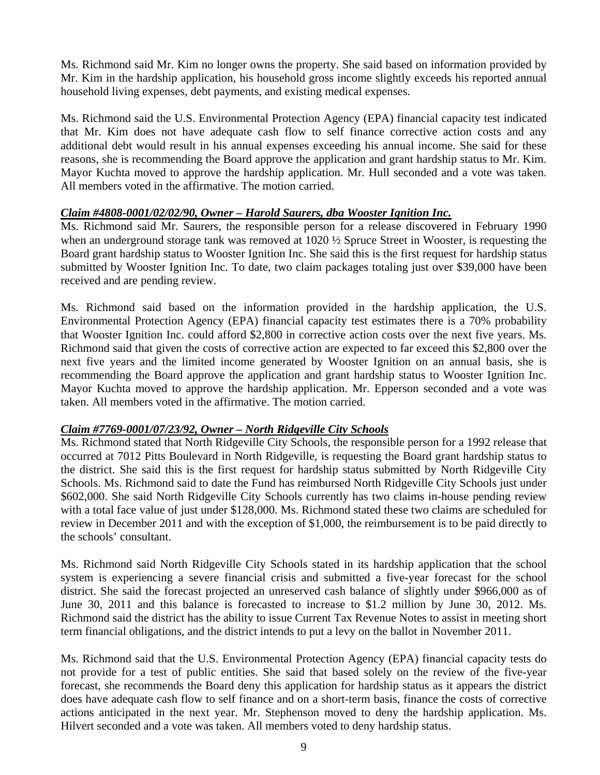Ms. Richmond said Mr. Kim no longer owns the property. She said based on information provided by Mr. Kim in the hardship application, his household gross income slightly exceeds his reported annual household living expenses, debt payments, and existing medical expenses.

Ms. Richmond said the U.S. Environmental Protection Agency (EPA) financial capacity test indicated that Mr. Kim does not have adequate cash flow to self finance corrective action costs and any additional debt would result in his annual expenses exceeding his annual income. She said for these reasons, she is recommending the Board approve the application and grant hardship status to Mr. Kim. Mayor Kuchta moved to approve the hardship application. Mr. Hull seconded and a vote was taken. All members voted in the affirmative. The motion carried.

# *Claim #4808-0001/02/02/90, Owner – Harold Saurers, dba Wooster Ignition Inc.*

Ms. Richmond said Mr. Saurers, the responsible person for a release discovered in February 1990 when an underground storage tank was removed at 1020 ½ Spruce Street in Wooster, is requesting the Board grant hardship status to Wooster Ignition Inc. She said this is the first request for hardship status submitted by Wooster Ignition Inc. To date, two claim packages totaling just over \$39,000 have been received and are pending review.

Ms. Richmond said based on the information provided in the hardship application, the U.S. Environmental Protection Agency (EPA) financial capacity test estimates there is a 70% probability that Wooster Ignition Inc. could afford \$2,800 in corrective action costs over the next five years. Ms. Richmond said that given the costs of corrective action are expected to far exceed this \$2,800 over the next five years and the limited income generated by Wooster Ignition on an annual basis, she is recommending the Board approve the application and grant hardship status to Wooster Ignition Inc. Mayor Kuchta moved to approve the hardship application. Mr. Epperson seconded and a vote was taken. All members voted in the affirmative. The motion carried.

## *Claim #7769-0001/07/23/92, Owner – North Ridgeville City Schools*

Ms. Richmond stated that North Ridgeville City Schools, the responsible person for a 1992 release that occurred at 7012 Pitts Boulevard in North Ridgeville, is requesting the Board grant hardship status to the district. She said this is the first request for hardship status submitted by North Ridgeville City Schools. Ms. Richmond said to date the Fund has reimbursed North Ridgeville City Schools just under \$602,000. She said North Ridgeville City Schools currently has two claims in-house pending review with a total face value of just under \$128,000. Ms. Richmond stated these two claims are scheduled for review in December 2011 and with the exception of \$1,000, the reimbursement is to be paid directly to the schools' consultant.

Ms. Richmond said North Ridgeville City Schools stated in its hardship application that the school system is experiencing a severe financial crisis and submitted a five-year forecast for the school district. She said the forecast projected an unreserved cash balance of slightly under \$966,000 as of June 30, 2011 and this balance is forecasted to increase to \$1.2 million by June 30, 2012. Ms. Richmond said the district has the ability to issue Current Tax Revenue Notes to assist in meeting short term financial obligations, and the district intends to put a levy on the ballot in November 2011.

Ms. Richmond said that the U.S. Environmental Protection Agency (EPA) financial capacity tests do not provide for a test of public entities. She said that based solely on the review of the five-year forecast, she recommends the Board deny this application for hardship status as it appears the district does have adequate cash flow to self finance and on a short-term basis, finance the costs of corrective actions anticipated in the next year. Mr. Stephenson moved to deny the hardship application. Ms. Hilvert seconded and a vote was taken. All members voted to deny hardship status.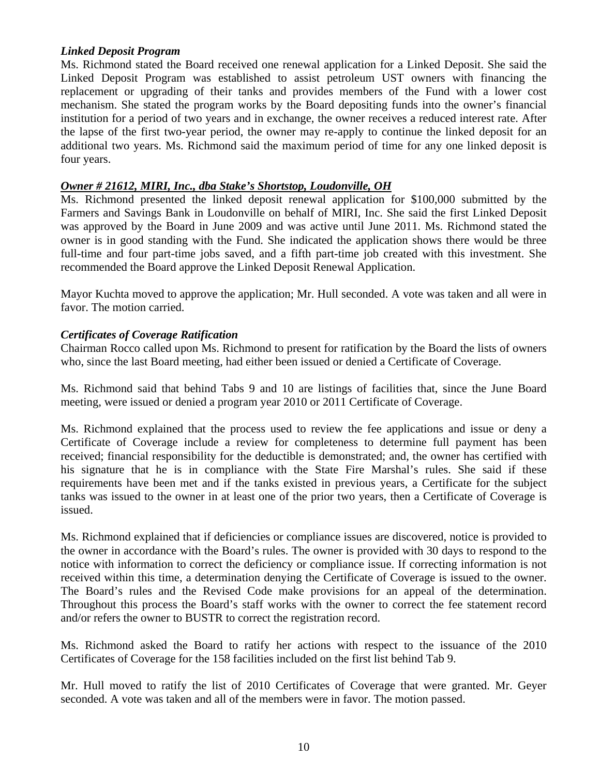## *Linked Deposit Program*

Ms. Richmond stated the Board received one renewal application for a Linked Deposit. She said the Linked Deposit Program was established to assist petroleum UST owners with financing the replacement or upgrading of their tanks and provides members of the Fund with a lower cost mechanism. She stated the program works by the Board depositing funds into the owner's financial institution for a period of two years and in exchange, the owner receives a reduced interest rate. After the lapse of the first two-year period, the owner may re-apply to continue the linked deposit for an additional two years. Ms. Richmond said the maximum period of time for any one linked deposit is four years.

#### *Owner # 21612, MIRI, Inc., dba Stake's Shortstop, Loudonville, OH*

Ms. Richmond presented the linked deposit renewal application for \$100,000 submitted by the Farmers and Savings Bank in Loudonville on behalf of MIRI, Inc. She said the first Linked Deposit was approved by the Board in June 2009 and was active until June 2011. Ms. Richmond stated the owner is in good standing with the Fund. She indicated the application shows there would be three full-time and four part-time jobs saved, and a fifth part-time job created with this investment. She recommended the Board approve the Linked Deposit Renewal Application.

Mayor Kuchta moved to approve the application; Mr. Hull seconded. A vote was taken and all were in favor. The motion carried.

## *Certificates of Coverage Ratification*

Chairman Rocco called upon Ms. Richmond to present for ratification by the Board the lists of owners who, since the last Board meeting, had either been issued or denied a Certificate of Coverage.

Ms. Richmond said that behind Tabs 9 and 10 are listings of facilities that, since the June Board meeting, were issued or denied a program year 2010 or 2011 Certificate of Coverage.

Ms. Richmond explained that the process used to review the fee applications and issue or deny a Certificate of Coverage include a review for completeness to determine full payment has been received; financial responsibility for the deductible is demonstrated; and, the owner has certified with his signature that he is in compliance with the State Fire Marshal's rules. She said if these requirements have been met and if the tanks existed in previous years, a Certificate for the subject tanks was issued to the owner in at least one of the prior two years, then a Certificate of Coverage is issued.

Ms. Richmond explained that if deficiencies or compliance issues are discovered, notice is provided to the owner in accordance with the Board's rules. The owner is provided with 30 days to respond to the notice with information to correct the deficiency or compliance issue. If correcting information is not received within this time, a determination denying the Certificate of Coverage is issued to the owner. The Board's rules and the Revised Code make provisions for an appeal of the determination. Throughout this process the Board's staff works with the owner to correct the fee statement record and/or refers the owner to BUSTR to correct the registration record.

Ms. Richmond asked the Board to ratify her actions with respect to the issuance of the 2010 Certificates of Coverage for the 158 facilities included on the first list behind Tab 9.

Mr. Hull moved to ratify the list of 2010 Certificates of Coverage that were granted. Mr. Geyer seconded. A vote was taken and all of the members were in favor. The motion passed.